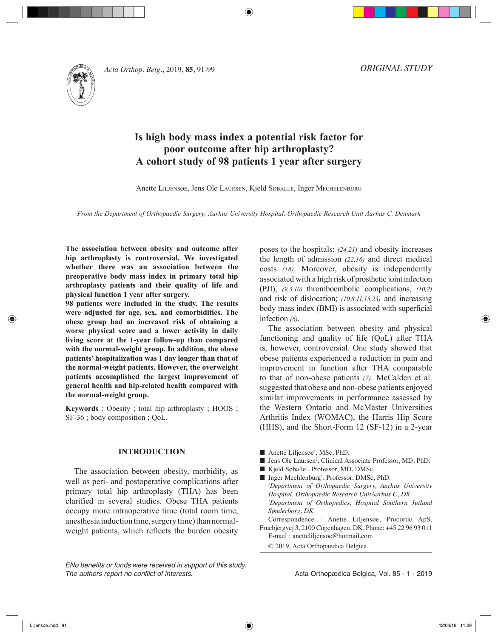

*Acta Orthop. Belg.*, 2019, **85**, 91-99

*ORIGINAL STUDY*

# **Is high body mass index a potential risk factor for poor outcome after hip arthroplasty? A cohort study of 98 patients 1 year after surgery**

Anette Liljensøe, Jens Ole Laursen, Kjeld Søballe, Inger Mechelenburg

*From the Department of Orthopaedic Surgery, Aarhus University Hospital, Orthopaedic Research Unit Aarhus C, Denmark*

**The association between obesity and outcome after hip arthroplasty is controversial. We investigated whether there was an association between the preoperative body mass index in primary total hip arthroplasty patients and their quality of life and physical function 1 year after surgery.** 

**98 patients were included in the study. The results were adjusted for age, sex, and comorbidities. The obese group had an increased risk of obtaining a worse physical score and a lower activity in daily living score at the 1-year follow-up than compared with the normal-weight group. In addition, the obese patients' hospitalization was 1 day longer than that of the normal-weight patients. However, the overweight patients accomplished the largest improvement of general health and hip-related health compared with the normal-weight group.** 

**Keywords** : Obesity ; total hip arthroplasty ; HOOS ; SF-36 ; body composition ; QoL.

### **INTRODUCTION**

The association between obesity, morbidity, as well as peri- and postoperative complications after primary total hip arthroplasty (THA) has been clarified in several studies. Obese THA patients occupy more intraoperative time (total room time, anesthesia induction time, surgery time) than normalweight patients, which reflects the burden obesity

*ENo benefits or funds were received in support of this study. The authors report no conflict of interests.*

poses to the hospitals; *(24,21)* and obesity increases the length of admission *(22,16)* and direct medical costs *(16)*. Moreover, obesity is independently associated with a high risk of prosthetic joint infection (PJI), *(9,3,10)* thromboembolic complications, *(10,2)* and risk of dislocation; *(10,8,11,15,23)* and increasing body mass index (BMI) is associated with superficial infection *(6)*.

The association between obesity and physical functioning and quality of life (QoL) after THA is, however, controversial. One study showed that obese patients experienced a reduction in pain and improvement in function after THA comparable to that of non-obese patients *(7)*. McCalden et al. suggested that obese and non-obese patients enjoyed similar improvements in performance assessed by the Western Ontario and McMaster Universities Arthritis Index (WOMAC), the Harris Hip Score (HHS), and the Short-Form 12 (SF-12) in a 2-year

- Anette Liljensøe<sup>1</sup>, MSc, PhD.
- Jens Ole Laursen<sup>2</sup>, Clinical Associate Professor, MD, PhD.
- Kjeld Søballe<sup>1</sup>, Professor, MD, DMSc.
- Inger Mechlenburg<sup>1</sup>, Professor, DMSc, PhD. *1 Department of Orthopaedic Surgery, Aarhus University Hospital, Orthopaedic Research UnitAarhus C, DK. 2 Department of Orthopedics, Hospital Southern Jutland Sønderborg, DK.*
- Correspondence : Anette Liljensøe, Procordo ApS, Fruebjergvej 3, 2100 Copenhagen, DK, Phone: +45 22 96 93 011 E-mail : anetteliljensoe@hotmail.com
	- © 2019, Acta Orthopaedica Belgica.

Acta Orthopædica Belgica, Vol. 85 - 1 - 2019

Liljensoe.indd 91 12/04/19 11:29

◈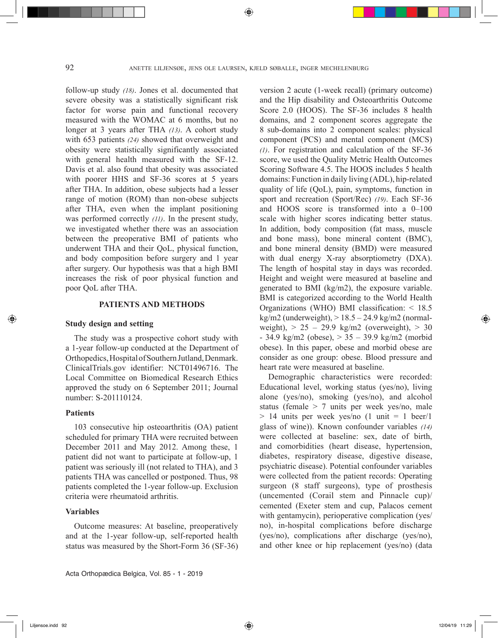follow-up study *(18)*. Jones et al. documented that severe obesity was a statistically significant risk factor for worse pain and functional recovery measured with the WOMAC at 6 months, but no longer at 3 years after THA *(13)*. A cohort study with 653 patients *(24)* showed that overweight and obesity were statistically significantly associated with general health measured with the SF-12. Davis et al. also found that obesity was associated with poorer HHS and SF-36 scores at 5 years after THA. In addition, obese subjects had a lesser range of motion (ROM) than non-obese subjects after THA, even when the implant positioning was performed correctly *(11)*. In the present study, we investigated whether there was an association between the preoperative BMI of patients who underwent THA and their QoL, physical function, and body composition before surgery and 1 year after surgery. Our hypothesis was that a high BMI increases the risk of poor physical function and poor QoL after THA.

# **PATIENTS AND METHODS**

### **Study design and setting**

The study was a prospective cohort study with a 1-year follow-up conducted at the Department of Orthopedics, Hospital of Southern Jutland, Denmark. ClinicalTrials.gov identifier: NCT01496716. The Local Committee on Biomedical Research Ethics approved the study on 6 September 2011; Journal number: S-201110124.

### **Patients**

◈

103 consecutive hip osteoarthritis (OA) patient scheduled for primary THA were recruited between December 2011 and May 2012. Among these, 1 patient did not want to participate at follow-up, 1 patient was seriously ill (not related to THA), and 3 patients THA was cancelled or postponed. Thus, 98 patients completed the 1-year follow-up. Exclusion criteria were rheumatoid arthritis.

### **Variables**

Outcome measures: At baseline, preoperatively and at the 1-year follow-up, self-reported health status was measured by the Short-Form 36 (SF-36)

Acta Orthopædica Belgica, Vol. 85 - 1 - 2019

version 2 acute (1-week recall) (primary outcome) and the Hip disability and Osteoarthritis Outcome Score 2.0 (HOOS). The SF-36 includes 8 health domains, and 2 component scores aggregate the 8 sub-domains into 2 component scales: physical component (PCS) and mental component (MCS) *(1)*. For registration and calculation of the SF-36 score, we used the Quality Metric Health Outcomes Scoring Software 4.5. The HOOS includes 5 health domains: Function in daily living (ADL), hip-related quality of life (QoL), pain, symptoms, function in sport and recreation (Sport/Rec) *(19)*. Each SF-36 and HOOS score is transformed into a 0–100 scale with higher scores indicating better status. In addition, body composition (fat mass, muscle and bone mass), bone mineral content (BMC), and bone mineral density (BMD) were measured with dual energy X-ray absorptiometry (DXA). The length of hospital stay in days was recorded. Height and weight were measured at baseline and generated to BMI (kg/m2), the exposure variable. BMI is categorized according to the World Health Organizations (WHO) BMI classification: < 18.5 kg/m2 (underweight),  $> 18.5 - 24.9$  kg/m2 (normalweight),  $> 25 - 29.9$  kg/m2 (overweight),  $> 30$  $-34.9 \text{ kg/m2}$  (obese),  $> 35 - 39.9 \text{ kg/m2}$  (morbid obese). In this paper, obese and morbid obese are consider as one group: obese. Blood pressure and heart rate were measured at baseline.

Demographic characteristics were recorded: Educational level, working status (yes/no), living alone (yes/no), smoking (yes/no), and alcohol status (female > 7 units per week yes/no, male  $> 14$  units per week yes/no  $(1 \text{ unit} = 1 \text{ beer}/1$ glass of wine)). Known confounder variables *(14)* were collected at baseline: sex, date of birth, and comorbidities (heart disease, hypertension, diabetes, respiratory disease, digestive disease, psychiatric disease). Potential confounder variables were collected from the patient records: Operating surgeon (8 staff surgeons), type of prosthesis (uncemented (Corail stem and Pinnacle cup)/ cemented (Exeter stem and cup, Palacos cement with gentamycin), perioperative complication (yes/ no), in-hospital complications before discharge (yes/no), complications after discharge (yes/no), and other knee or hip replacement (yes/no) (data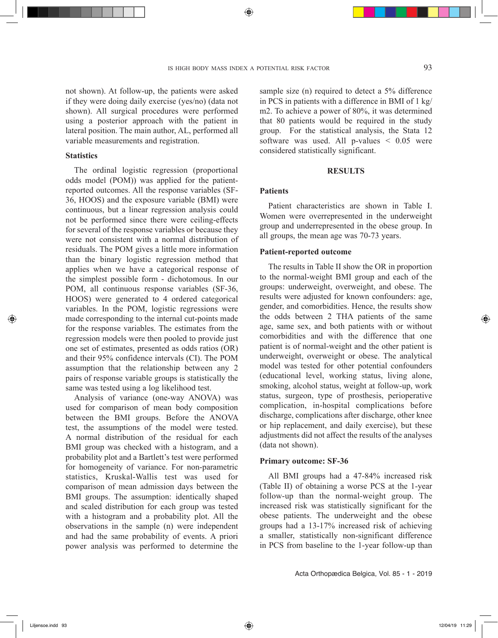not shown). At follow-up, the patients were asked if they were doing daily exercise (yes/no) (data not shown). All surgical procedures were performed using a posterior approach with the patient in lateral position. The main author, AL, performed all variable measurements and registration.

# **Statistics**

The ordinal logistic regression (proportional odds model (POM)) was applied for the patientreported outcomes. All the response variables (SF-36, HOOS) and the exposure variable (BMI) were continuous, but a linear regression analysis could not be performed since there were ceiling-effects for several of the response variables or because they were not consistent with a normal distribution of residuals. The POM gives a little more information than the binary logistic regression method that applies when we have a categorical response of the simplest possible form - dichotomous. In our POM, all continuous response variables (SF-36, HOOS) were generated to 4 ordered categorical variables. In the POM, logistic regressions were made corresponding to the internal cut-points made for the response variables. The estimates from the regression models were then pooled to provide just one set of estimates, presented as odds ratios (OR) and their 95% confidence intervals (CI). The POM assumption that the relationship between any 2 pairs of response variable groups is statistically the same was tested using a log likelihood test.

Analysis of variance (one-way ANOVA) was used for comparison of mean body composition between the BMI groups. Before the ANOVA test, the assumptions of the model were tested. A normal distribution of the residual for each BMI group was checked with a histogram, and a probability plot and a Bartlett's test were performed for homogeneity of variance. For non-parametric statistics, Kruskal-Wallis test was used for comparison of mean admission days between the BMI groups. The assumption: identically shaped and scaled distribution for each group was tested with a histogram and a probability plot. All the observations in the sample (n) were independent and had the same probability of events. A priori power analysis was performed to determine the sample size (n) required to detect a 5% difference in PCS in patients with a difference in BMI of 1 kg/ m2. To achieve a power of 80%, it was determined that 80 patients would be required in the study group. For the statistical analysis, the Stata 12 software was used. All p-values  $\leq 0.05$  were considered statistically significant.

### **RESULTS**

#### **Patients**

Patient characteristics are shown in Table I. Women were overrepresented in the underweight group and underrepresented in the obese group. In all groups, the mean age was 70-73 years.

### **Patient-reported outcome**

The results in Table II show the OR in proportion to the normal-weight BMI group and each of the groups: underweight, overweight, and obese. The results were adjusted for known confounders: age, gender, and comorbidities. Hence, the results show the odds between 2 THA patients of the same age, same sex, and both patients with or without comorbidities and with the difference that one patient is of normal-weight and the other patient is underweight, overweight or obese. The analytical model was tested for other potential confounders (educational level, working status, living alone, smoking, alcohol status, weight at follow-up, work status, surgeon, type of prosthesis, perioperative complication, in-hospital complications before discharge, complications after discharge, other knee or hip replacement, and daily exercise), but these adjustments did not affect the results of the analyses (data not shown).

### **Primary outcome: SF-36**

All BMI groups had a 47-84% increased risk (Table II) of obtaining a worse PCS at the 1-year follow-up than the normal-weight group. The increased risk was statistically significant for the obese patients. The underweight and the obese groups had a 13-17% increased risk of achieving a smaller, statistically non-significant difference in PCS from baseline to the 1-year follow-up than

Acta Orthopædica Belgica, Vol. 85 - 1 - 2019

◈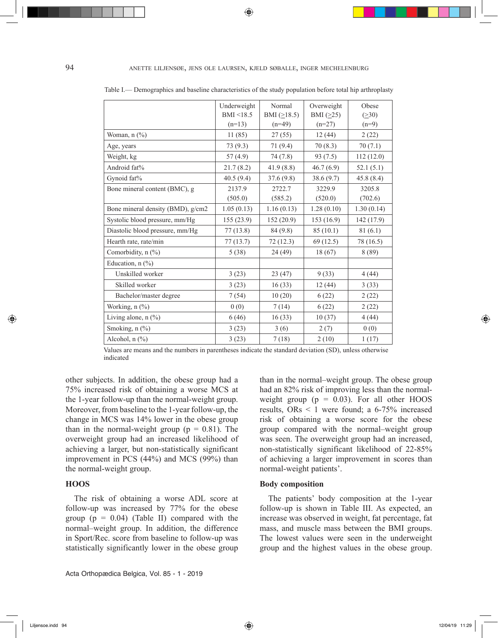94 anette liljensøe, jens ole laursen, kjeld søballe, inger mechelenburg

◈

|                                   | Underweight | Normal        | Overweight      | Obese      |
|-----------------------------------|-------------|---------------|-----------------|------------|
|                                   | BMI < 18.5  | BMI $(≥18.5)$ | BMI $(\geq 25)$ | (230)      |
|                                   | $(n=13)$    | $(n=49)$      | $(n=27)$        | $(n=9)$    |
| Woman, $n$ $(\%)$                 | 11(85)      | 27(55)        | 12(44)          | 2(22)      |
| Age, years                        | 73(9.3)     | 71(9.4)       | 70(8.3)         | 70(7.1)    |
| Weight, kg                        | 57(4.9)     | 74(7.8)       | 93(7.5)         | 112(12.0)  |
| Android fat%                      | 21.7(8.2)   | 41.9(8.8)     | 46.7(6.9)       | 52.1(5.1)  |
| Gynoid fat%                       | 40.5(9.4)   | 37.6(9.8)     | 38.6(9.7)       | 45.8(8.4)  |
| Bone mineral content (BMC), g     | 2137.9      | 2722.7        | 3229.9          | 3205.8     |
|                                   | (505.0)     | (585.2)       | (520.0)         | (702.6)    |
| Bone mineral density (BMD), g/cm2 | 1.05(0.13)  | 1.16(0.13)    | 1.28(0.10)      | 1.30(0.14) |
| Systolic blood pressure, mm/Hg    | 155(23.9)   | 152(20.9)     | 153 (16.9)      | 142 (17.9) |
| Diastolic blood pressure, mm/Hg   | 77(13.8)    | 84 (9.8)      | 85(10.1)        | 81(6.1)    |
| Hearth rate, rate/min             | 77(13.7)    | 72(12.3)      | 69(12.5)        | 78 (16.5)  |
| Comorbidity, $n$ (%)              | 5(38)       | 24(49)        | 18(67)          | 8(89)      |
| Education, $n$ (%)                |             |               |                 |            |
| Unskilled worker                  | 3(23)       | 23(47)        | 9(33)           | 4(44)      |
| Skilled worker                    | 3(23)       | 16(33)        | 12(44)          | 3(33)      |
| Bachelor/master degree            | 7(54)       | 10(20)        | 6(22)           | 2(22)      |
| Working, n (%)                    | 0(0)        | 7(14)         | 6(22)           | 2(22)      |
| Living alone, $n$ (%)             | 6(46)       | 16(33)        | 10(37)          | 4(44)      |
| Smoking, n (%)                    | 3(23)       | 3(6)          | 2(7)            | 0(0)       |
| Alcohol, n (%)                    | 3(23)       | 7(18)         | 2(10)           | 1(17)      |

Table I.— Demographics and baseline characteristics of the study population before total hip arthroplasty

Values are means and the numbers in parentheses indicate the standard deviation (SD), unless otherwise indicated

other subjects. In addition, the obese group had a 75% increased risk of obtaining a worse MCS at the 1-year follow-up than the normal-weight group. Moreover, from baseline to the 1-year follow-up, the change in MCS was 14% lower in the obese group than in the normal-weight group ( $p = 0.81$ ). The overweight group had an increased likelihood of achieving a larger, but non-statistically significant improvement in PCS (44%) and MCS (99%) than the normal-weight group.

# **HOOS**

The risk of obtaining a worse ADL score at follow-up was increased by 77% for the obese group ( $p = 0.04$ ) (Table II) compared with the normal–weight group. In addition, the difference in Sport/Rec. score from baseline to follow-up was statistically significantly lower in the obese group

Acta Orthopædica Belgica, Vol. 85 - 1 - 2019

than in the normal–weight group. The obese group had an 82% risk of improving less than the normalweight group ( $p = 0.03$ ). For all other HOOS results, ORs < 1 were found; a 6-75% increased risk of obtaining a worse score for the obese group compared with the normal–weight group was seen. The overweight group had an increased, non-statistically significant likelihood of 22-85% of achieving a larger improvement in scores than normal-weight patients'.

### **Body composition**

The patients' body composition at the 1-year follow-up is shown in Table III. As expected, an increase was observed in weight, fat percentage, fat mass, and muscle mass between the BMI groups. The lowest values were seen in the underweight group and the highest values in the obese group.

◈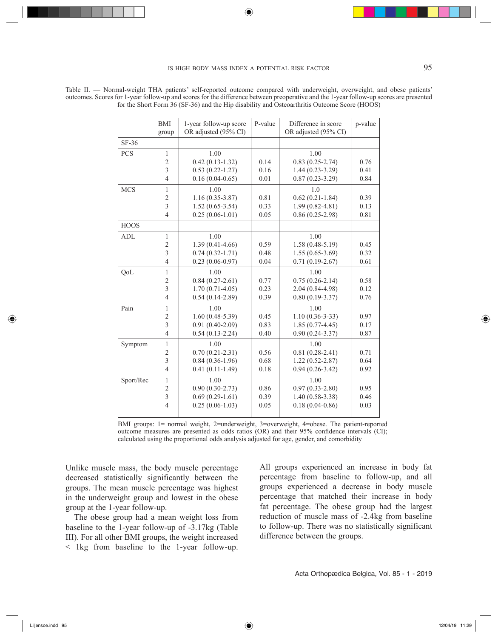# is high body mass index a potential risk factor 95

◈

|             | <b>BMI</b>     | 1-year follow-up score | P-value | Difference in score   | p-value |
|-------------|----------------|------------------------|---------|-----------------------|---------|
|             | group          | OR adjusted (95% CI)   |         | OR adjusted (95% CI)  |         |
| $SF-36$     |                |                        |         |                       |         |
| <b>PCS</b>  | $\mathbf{1}$   | 1.00                   |         | 1.00                  |         |
|             | $\overline{2}$ | $0.42(0.13-1.32)$      | 0.14    | $0.83(0.25-2.74)$     | 0.76    |
|             | $\overline{3}$ | $0.53(0.22 - 1.27)$    | 0.16    | $1.44(0.23-3.29)$     | 0.41    |
|             | $\overline{4}$ | $0.16(0.04-0.65)$      | 0.01    | $0.87(0.23 - 3.29)$   | 0.84    |
| <b>MCS</b>  | 1              | 1.00                   |         | 1.0                   |         |
|             | $\overline{c}$ | $1.16(0.35-3.87)$      | 0.81    | $0.62(0.21-1.84)$     | 0.39    |
|             | $\overline{3}$ | $1.52(0.65-3.54)$      | 0.33    | $1.99(0.82 - 4.81)$   | 0.13    |
|             | $\overline{4}$ | $0.25(0.06-1.01)$      | 0.05    | $0.86(0.25-2.98)$     | 0.81    |
| <b>HOOS</b> |                |                        |         |                       |         |
| <b>ADL</b>  | $\mathbf{1}$   | 1.00                   |         | 1.00                  |         |
|             | $\overline{2}$ | $1.39(0.41 - 4.66)$    | 0.59    | $1.58(0.48 - 5.19)$   | 0.45    |
|             | $\overline{3}$ | $0.74(0.32 - 1.71)$    | 0.48    | $1.55(0.65-3.69)$     | 0.32    |
|             | $\overline{4}$ | $0.23(0.06-0.97)$      | 0.04    | $0.71(0.19-2.67)$     | 0.61    |
| QoL         | $\mathbf{1}$   | 1.00                   |         | 1.00                  |         |
|             | $\overline{c}$ | $0.84(0.27-2.61)$      | 0.77    | $0.75(0.26-2.14)$     | 0.58    |
|             | $\overline{3}$ | $1.70(0.71-4.05)$      | 0.23    | $2.04(0.84 - 4.98)$   | 0.12    |
|             | $\overline{4}$ | $0.54(0.14-2.89)$      | 0.39    | $0.80(0.19-3.37)$     | 0.76    |
| Pain        | $\mathbf{1}$   | 1.00                   |         | 1.00                  |         |
|             | $\overline{c}$ | $1.60(0.48-5.39)$      | 0.45    | $1.10(0.36 - 3 - 33)$ | 0.97    |
|             | $\overline{3}$ | $0.91(0.40-2.09)$      | 0.83    | $1.85(0.77-4.45)$     | 0.17    |
|             | $\overline{4}$ | $0.54(0.13-2.24)$      | 0.40    | $0.90(0.24 - 3.37)$   | 0.87    |
| Symptom     | $\mathbf{1}$   | 1.00                   |         | 1.00                  |         |
|             | $\overline{c}$ | $0.70(0.21 - 2.31)$    | 0.56    | $0.81(0.28-2.41)$     | 0.71    |
|             | $\overline{3}$ | $0.84(0.36-1.96)$      | 0.68    | $1.22(0.52 - 2.87)$   | 0.64    |
|             | $\overline{4}$ | $0.41(0.11-1.49)$      | 0.18    | $0.94(0.26 - 3.42)$   | 0.92    |
| Sport/Rec   | $\mathbf{1}$   | 1.00                   |         | 1.00                  |         |
|             | $\overline{2}$ | $0.90(0.30-2.73)$      | 0.86    | $0.97(0.33 - 2.80)$   | 0.95    |
|             | $\overline{3}$ | $0.69(0.29-1.61)$      | 0.39    | $1.40(0.58-3.38)$     | 0.46    |
|             | $\overline{4}$ | $0.25(0.06-1.03)$      | 0.05    | $0.18(0.04 - 0.86)$   | 0.03    |
|             |                |                        |         |                       |         |

Table II. — Normal-weight THA patients' self-reported outcome compared with underweight, overweight, and obese patients' outcomes. Scores for 1-year follow-up and scores for the difference between preoperative and the 1-year follow-up scores are presented for the Short Form 36 (SF-36) and the Hip disability and Osteoarthritis Outcome Score (HOOS)

> BMI groups: 1= normal weight, 2=underweight, 3=overweight, 4=obese. The patient-reported outcome measures are presented as odds ratios (OR) and their 95% confidence intervals (CI); calculated using the proportional odds analysis adjusted for age, gender, and comorbidity

Unlike muscle mass, the body muscle percentage decreased statistically significantly between the groups. The mean muscle percentage was highest in the underweight group and lowest in the obese group at the 1-year follow-up.

The obese group had a mean weight loss from baseline to the 1-year follow-up of -3.17kg (Table III). For all other BMI groups, the weight increased < 1kg from baseline to the 1-year follow-up. All groups experienced an increase in body fat percentage from baseline to follow-up, and all groups experienced a decrease in body muscle percentage that matched their increase in body fat percentage. The obese group had the largest reduction of muscle mass of -2.4kg from baseline to follow-up. There was no statistically significant difference between the groups.

◈

◈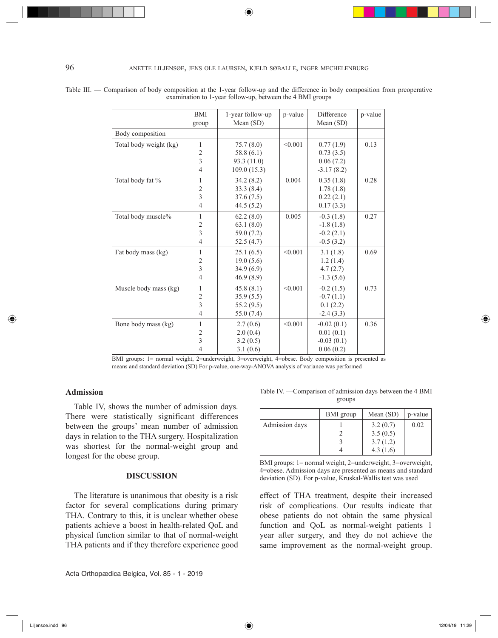### 96 anette liljensøe, jens ole laursen, kjeld søballe, inger mechelenburg

|                        | <b>BMI</b><br>group     | 1-year follow-up<br>Mean (SD) | p-value | Difference<br>Mean $(SD)$ | p-value |
|------------------------|-------------------------|-------------------------------|---------|---------------------------|---------|
| Body composition       |                         |                               |         |                           |         |
|                        |                         |                               |         |                           |         |
| Total body weight (kg) | $\mathbf{1}$            | 75.7(8.0)                     | < 0.001 | 0.77(1.9)                 | 0.13    |
|                        | $\overline{2}$          | 58.8(6.1)                     |         | 0.73(3.5)                 |         |
|                        | $\overline{3}$          | 93.3 (11.0)                   |         | 0.06(7.2)                 |         |
|                        | $\overline{4}$          | 109.0(15.3)                   |         | $-3.17(8.2)$              |         |
| Total body fat %       | 1                       | 34.2(8.2)                     | 0.004   | 0.35(1.8)                 | 0.28    |
|                        | $\overline{2}$          | 33.3(8.4)                     |         | 1.78(1.8)                 |         |
|                        | 3                       | 37.6(7.5)                     |         | 0.22(2.1)                 |         |
|                        | $\overline{4}$          | 44.5(5.2)                     |         | 0.17(3.3)                 |         |
| Total body muscle%     | 1                       | 62.2(8.0)                     | 0.005   | $-0.3(1.8)$               | 0.27    |
|                        | $\overline{2}$          | 63.1(8.0)                     |         | $-1.8(1.8)$               |         |
|                        | $\overline{3}$          | 59.0 (7.2)                    |         | $-0.2(2.1)$               |         |
|                        | $\overline{4}$          | 52.5(4.7)                     |         | $-0.5(3.2)$               |         |
| Fat body mass (kg)     | 1                       | 25.1(6.5)                     | < 0.001 | 3.1(1.8)                  | 0.69    |
|                        | $\overline{c}$          | 19.0(5.6)                     |         | 1.2(1.4)                  |         |
|                        | $\overline{3}$          | 34.9(6.9)                     |         | 4.7(2.7)                  |         |
|                        | $\overline{4}$          | 46.9(8.9)                     |         | $-1.3(5.6)$               |         |
| Muscle body mass (kg)  | 1                       | 45.8(8.1)                     | < 0.001 | $-0.2(1.5)$               | 0.73    |
|                        | $\overline{c}$          | 35.9(5.5)                     |         | $-0.7(1.1)$               |         |
|                        | $\overline{3}$          | 55.2 (9.5)                    |         | 0.1(2.2)                  |         |
|                        | $\overline{4}$          | 55.0 (7.4)                    |         | $-2.4(3.3)$               |         |
| Bone body mass (kg)    | 1                       | 2.7(0.6)                      | < 0.001 | $-0.02(0.1)$              | 0.36    |
|                        | $\overline{c}$          | 2.0(0.4)                      |         | 0.01(0.1)                 |         |
|                        | $\overline{\mathbf{3}}$ | 3.2(0.5)                      |         | $-0.03(0.1)$              |         |
|                        | $\overline{4}$          | 3.1(0.6)                      |         | 0.06(0.2)                 |         |

Table III. — Comparison of body composition at the 1-year follow-up and the difference in body composition from preoperative examination to 1-year follow-up, between the 4 BMI groups

> BMI groups: 1= normal weight, 2=underweight, 3=overweight, 4=obese. Body composition is presented as means and standard deviation (SD) For p-value, one-way-ANOVA analysis of variance was performed

### **Admission**

◈

Table IV, shows the number of admission days. There were statistically significant differences between the groups' mean number of admission days in relation to the THA surgery. Hospitalization was shortest for the normal-weight group and longest for the obese group.

### **DISCUSSION**

The literature is unanimous that obesity is a risk factor for several complications during primary THA. Contrary to this, it is unclear whether obese patients achieve a boost in health-related QoL and physical function similar to that of normal-weight THA patients and if they therefore experience good

Table IV. —Comparison of admission days between the 4 BMI groups

|                | BMI group | Mean $(SD)$ | p-value |
|----------------|-----------|-------------|---------|
| Admission days |           | 3.2(0.7)    | 0.02    |
|                |           | 3.5(0.5)    |         |
|                |           | 3.7(1.2)    |         |
|                |           | 4.3(1.6)    |         |

BMI groups: 1= normal weight, 2=underweight, 3=overweight, 4=obese. Admission days are presented as means and standard deviation (SD). For p-value, Kruskal-Wallis test was used

effect of THA treatment, despite their increased risk of complications. Our results indicate that obese patients do not obtain the same physical function and QoL as normal-weight patients 1 year after surgery, and they do not achieve the same improvement as the normal-weight group.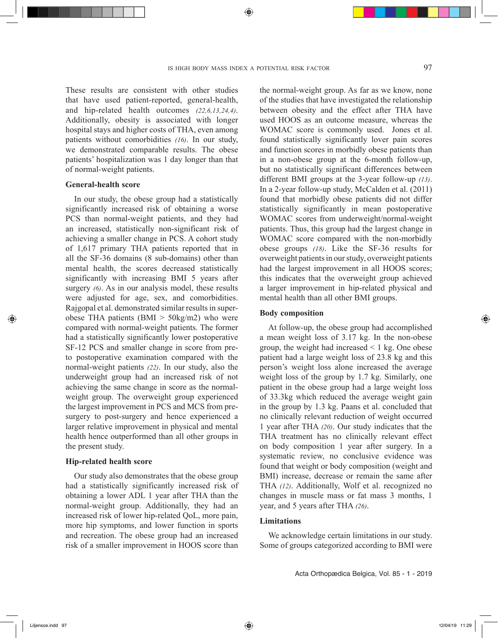These results are consistent with other studies that have used patient-reported, general-health, and hip-related health outcomes *(22,6,13,24,4)*. Additionally, obesity is associated with longer hospital stays and higher costs of THA, even among patients without comorbidities *(16)*. In our study, we demonstrated comparable results. The obese patients' hospitalization was 1 day longer than that of normal-weight patients.

### **General-health score**

In our study, the obese group had a statistically significantly increased risk of obtaining a worse PCS than normal-weight patients, and they had an increased, statistically non-significant risk of achieving a smaller change in PCS. A cohort study of 1,617 primary THA patients reported that in all the SF-36 domains (8 sub-domains) other than mental health, the scores decreased statistically significantly with increasing BMI 5 years after surgery *(6)*. As in our analysis model, these results were adjusted for age, sex, and comorbidities. Rajgopal et al. demonstrated similar results in superobese THA patients (BMI  $>$  50kg/m2) who were compared with normal-weight patients. The former had a statistically significantly lower postoperative SF-12 PCS and smaller change in score from preto postoperative examination compared with the normal-weight patients *(22)*. In our study, also the underweight group had an increased risk of not achieving the same change in score as the normalweight group. The overweight group experienced the largest improvement in PCS and MCS from presurgery to post-surgery and hence experienced a larger relative improvement in physical and mental health hence outperformed than all other groups in the present study.

### **Hip-related health score**

Our study also demonstrates that the obese group had a statistically significantly increased risk of obtaining a lower ADL 1 year after THA than the normal-weight group. Additionally, they had an increased risk of lower hip-related QoL, more pain, more hip symptoms, and lower function in sports and recreation. The obese group had an increased risk of a smaller improvement in HOOS score than

the normal-weight group. As far as we know, none of the studies that have investigated the relationship between obesity and the effect after THA have used HOOS as an outcome measure, whereas the WOMAC score is commonly used. Jones et al. found statistically significantly lover pain scores and function scores in morbidly obese patients than in a non-obese group at the 6-month follow-up, but no statistically significant differences between different BMI groups at the 3-year follow-up *(13)*. In a 2-year follow-up study, McCalden et al. (2011) found that morbidly obese patients did not differ statistically significantly in mean postoperative WOMAC scores from underweight/normal-weight patients. Thus, this group had the largest change in WOMAC score compared with the non-morbidly obese groups *(18)*. Like the SF-36 results for overweight patients in our study, overweight patients had the largest improvement in all HOOS scores; this indicates that the overweight group achieved a larger improvement in hip-related physical and mental health than all other BMI groups.

### **Body composition**

At follow-up, the obese group had accomplished a mean weight loss of 3.17 kg. In the non-obese group, the weight had increased  $\leq 1$  kg. One obese patient had a large weight loss of 23.8 kg and this person's weight loss alone increased the average weight loss of the group by 1.7 kg. Similarly, one patient in the obese group had a large weight loss of 33.3kg which reduced the average weight gain in the group by 1.3 kg. Paans et al. concluded that no clinically relevant reduction of weight occurred 1 year after THA *(20)*. Our study indicates that the THA treatment has no clinically relevant effect on body composition 1 year after surgery. In a systematic review, no conclusive evidence was found that weight or body composition (weight and BMI) increase, decrease or remain the same after THA *(12)*. Additionally, Wolf et al. recognized no changes in muscle mass or fat mass 3 months, 1 year, and 5 years after THA *(26)*.

#### **Limitations**

We acknowledge certain limitations in our study. Some of groups categorized according to BMI were

◈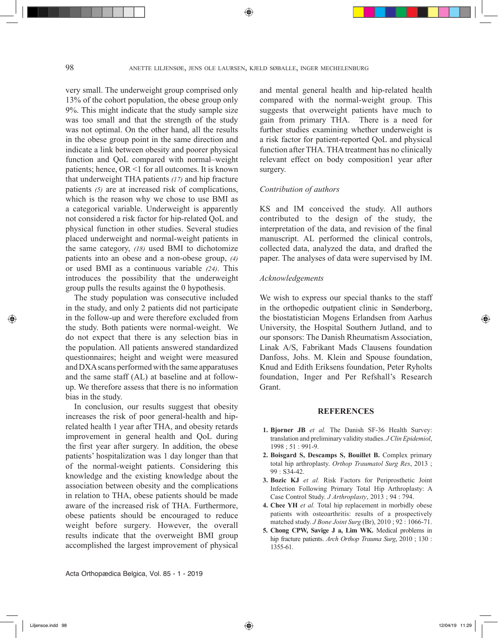very small. The underweight group comprised only 13% of the cohort population, the obese group only 9%. This might indicate that the study sample size was too small and that the strength of the study was not optimal. On the other hand, all the results in the obese group point in the same direction and indicate a link between obesity and poorer physical function and QoL compared with normal–weight patients; hence, OR <1 for all outcomes. It is known that underweight THA patients *(17)* and hip fracture patients *(5)* are at increased risk of complications, which is the reason why we chose to use BMI as a categorical variable. Underweight is apparently not considered a risk factor for hip-related QoL and physical function in other studies. Several studies placed underweight and normal-weight patients in the same category, *(18)* used BMI to dichotomize patients into an obese and a non-obese group, *(4)* or used BMI as a continuous variable *(24)*. This introduces the possibility that the underweight group pulls the results against the 0 hypothesis.

The study population was consecutive included in the study, and only 2 patients did not participate in the follow-up and were therefore excluded from the study. Both patients were normal-weight. We do not expect that there is any selection bias in the population. All patients answered standardized questionnaires; height and weight were measured and DXA scans performed with the same apparatuses and the same staff (AL) at baseline and at followup. We therefore assess that there is no information bias in the study.

In conclusion, our results suggest that obesity increases the risk of poor general-health and hiprelated health 1 year after THA, and obesity retards improvement in general health and QoL during the first year after surgery. In addition, the obese patients' hospitalization was 1 day longer than that of the normal-weight patients. Considering this knowledge and the existing knowledge about the association between obesity and the complications in relation to THA, obese patients should be made aware of the increased risk of THA. Furthermore, obese patients should be encouraged to reduce weight before surgery. However, the overall results indicate that the overweight BMI group accomplished the largest improvement of physical

and mental general health and hip-related health compared with the normal-weight group. This suggests that overweight patients have much to gain from primary THA. There is a need for further studies examining whether underweight is a risk factor for patient-reported QoL and physical function after THA. THA treatment has no clinically relevant effect on body composition1 year after surgery.

### *Contribution of authors*

KS and IM conceived the study. All authors contributed to the design of the study, the interpretation of the data, and revision of the final manuscript. AL performed the clinical controls, collected data, analyzed the data, and drafted the paper. The analyses of data were supervised by IM.

#### *Acknowledgements*

We wish to express our special thanks to the staff in the orthopedic outpatient clinic in Sønderborg, the biostatistician Mogens Erlandsen from Aarhus University, the Hospital Southern Jutland, and to our sponsors: The Danish Rheumatism Association, Linak A/S, Fabrikant Mads Clausens foundation Danfoss, Johs. M. Klein and Spouse foundation, Knud and Edith Eriksens foundation, Peter Ryholts foundation, Inger and Per Refshall's Research Grant.

#### **REFERENCES**

- **1. Bjorner JB** *et al.* The Danish SF-36 Health Survey: translation and preliminary validity studies. *J Clin Epidemiol*, 1998 ; 51 : 991-9.
- **2. Boisgard S, Descamps S, Bouillet B.** Complex primary total hip arthroplasty. *Orthop Traumatol Surg Res*, 2013 ; 99 : S34-42.
- **3. Bozic KJ** *et al.* Risk Factors for Periprosthetic Joint Infection Following Primary Total Hip Arthroplasty: A Case Control Study. *J Arthroplasty*, 2013 ; 94 : 794.
- **4. Chee YH** *et al.* Total hip replacement in morbidly obese patients with osteoarthritis: results of a prospectively matched study. *J Bone Joint Surg* (Br), 2010 ; 92 : 1066-71.
- **5. Chong CPW, Savige J a, Lim WK.** Medical problems in hip fracture patients. *Arch Orthop Trauma Surg*, 2010 ; 130 : 1355-61.

Acta Orthopædica Belgica, Vol. 85 - 1 - 2019